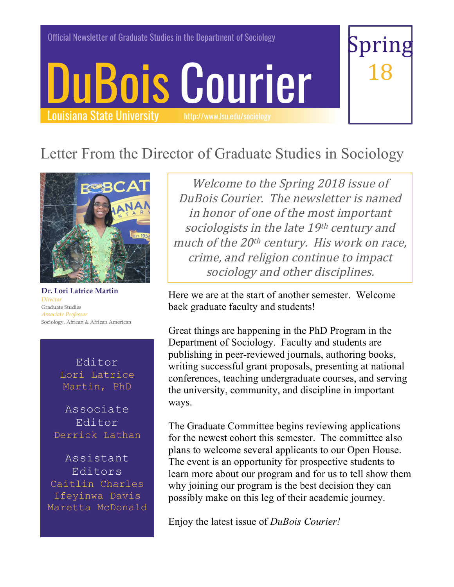Official Newsletter of Graduate Studies in the Department of Sociology

# DuBois Courier Louisiana State University



# Letter From the Director of Graduate Studies in Sociology



**Dr. Lori Latrice Martin** *Director*  Graduate Studies *Associate Professor* Sociology, African & African American

Editor Lori Latrice Martin, PhD

Associate Editor Derrick Lathan

Assistant Editors Caitlin Charles Ifeyinwa Davis Maretta McDonald

Welcome to the Spring 2018 issue of DuBois Courier. The newsletter is named in honor of one of the most important sociologists in the late 19th century and much of the 20<sup>th</sup> century. His work on race, crime, and religion continue to impact sociology and other disciplines.

Here we are at the start of another semester. Welcome back graduate faculty and students!

Great things are happening in the PhD Program in the Department of Sociology. Faculty and students are publishing in peer-reviewed journals, authoring books, writing successful grant proposals, presenting at national conferences, teaching undergraduate courses, and serving the university, community, and discipline in important ways.

The Graduate Committee begins reviewing applications for the newest cohort this semester. The committee also plans to welcome several applicants to our Open House. The event is an opportunity for prospective students to learn more about our program and for us to tell show them why joining our program is the best decision they can possibly make on this leg of their academic journey.

Enjoy the latest issue of *DuBois Courier!*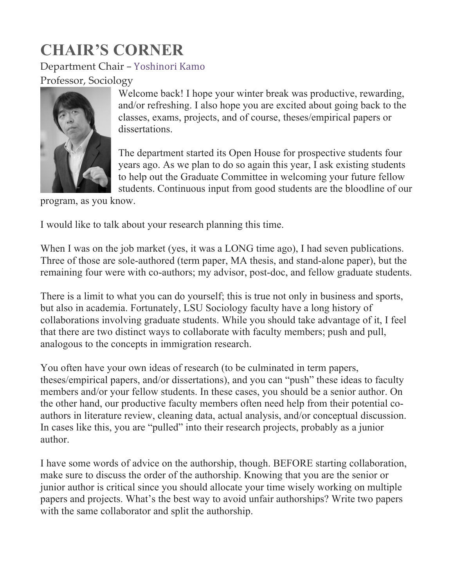# **CHAIR'S CORNER**

#### Department Chair – Yoshinori Kamo

#### Professor, Sociology



Welcome back! I hope your winter break was productive, rewarding, and/or refreshing. I also hope you are excited about going back to the classes, exams, projects, and of course, theses/empirical papers or dissertations.

The department started its Open House for prospective students four years ago. As we plan to do so again this year, I ask existing students to help out the Graduate Committee in welcoming your future fellow students. Continuous input from good students are the bloodline of our

program, as you know.

I would like to talk about your research planning this time.

When I was on the job market (yes, it was a LONG time ago), I had seven publications. Three of those are sole-authored (term paper, MA thesis, and stand-alone paper), but the remaining four were with co-authors; my advisor, post-doc, and fellow graduate students.

There is a limit to what you can do yourself; this is true not only in business and sports, but also in academia. Fortunately, LSU Sociology faculty have a long history of collaborations involving graduate students. While you should take advantage of it, I feel that there are two distinct ways to collaborate with faculty members; push and pull, analogous to the concepts in immigration research.

You often have your own ideas of research (to be culminated in term papers, theses/empirical papers, and/or dissertations), and you can "push" these ideas to faculty members and/or your fellow students. In these cases, you should be a senior author. On the other hand, our productive faculty members often need help from their potential coauthors in literature review, cleaning data, actual analysis, and/or conceptual discussion. In cases like this, you are "pulled" into their research projects, probably as a junior author.

I have some words of advice on the authorship, though. BEFORE starting collaboration, make sure to discuss the order of the authorship. Knowing that you are the senior or junior author is critical since you should allocate your time wisely working on multiple papers and projects. What's the best way to avoid unfair authorships? Write two papers with the same collaborator and split the authorship.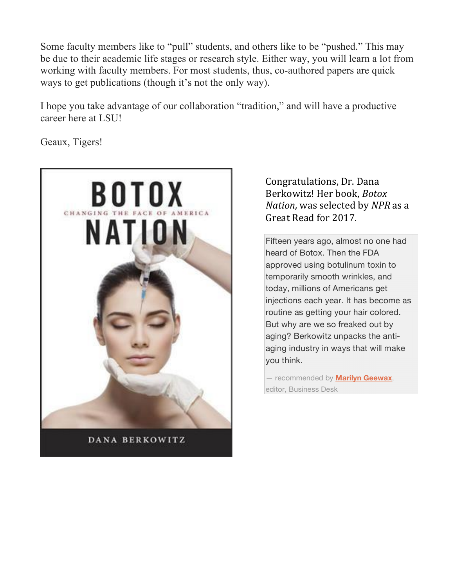Some faculty members like to "pull" students, and others like to be "pushed." This may be due to their academic life stages or research style. Either way, you will learn a lot from working with faculty members. For most students, thus, co-authored papers are quick ways to get publications (though it's not the only way).

I hope you take advantage of our collaboration "tradition," and will have a productive career here at LSU!

Geaux, Tigers!



DANA BERKOWITZ

#### Congratulations, Dr. Dana Berkowitz! Her book, *Botox Nation*, was selected by *NPR* as a Great Read for 2017.

Fifteen years ago, almost no one had heard of Botox. Then the FDA approved using botulinum toxin to temporarily smooth wrinkles, and today, millions of Americans get injections each year. It has become as routine as getting your hair colored. But why are we so freaked out by aging? Berkowitz unpacks the antiaging industry in ways that will make you think.

— recommended by **Marilyn Geewax**, editor, Business Desk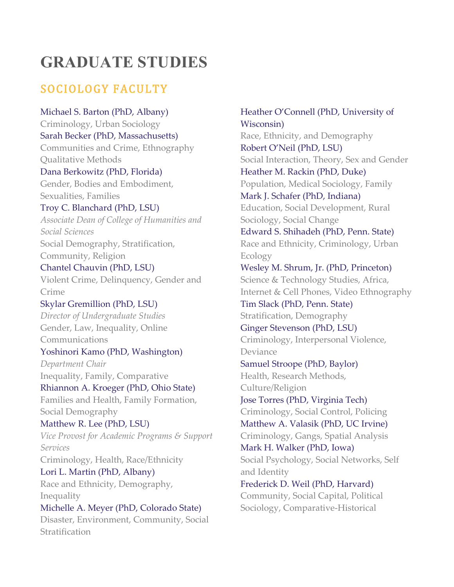# **GRADUATE STUDIES**

### SOCIOLOGY FACULTY

Michael S. Barton (PhD, Albany) Criminology, Urban Sociology Sarah Becker (PhD, Massachusetts) Communities and Crime, Ethnography Qualitative Methods Dana Berkowitz (PhD, Florida) Gender, Bodies and Embodiment, Sexualities, Families Troy C. Blanchard (PhD, LSU) *Associate Dean of College of Humanities and Social Sciences* Social Demography, Stratification, Community, Religion Chantel Chauvin (PhD, LSU) Violent Crime, Delinquency, Gender and Crime Skylar Gremillion (PhD, LSU) *Director of Undergraduate Studies* Gender, Law, Inequality, Online Communications Yoshinori Kamo (PhD, Washington) *Department Chair* Inequality, Family, Comparative Rhiannon A. Kroeger (PhD, Ohio State) Families and Health, Family Formation, Social Demography Matthew R. Lee (PhD, LSU) *Vice Provost for Academic Programs & Support* 

*Services* Criminology, Health, Race/Ethnicity Lori L. Martin (PhD, Albany) Race and Ethnicity, Demography, Inequality Michelle A. Meyer (PhD, Colorado State) Disaster, Environment, Community, Social

**Stratification** 

Wisconsin) Race, Ethnicity, and Demography Robert O'Neil (PhD, LSU) Social Interaction, Theory, Sex and Gender Heather M. Rackin (PhD, Duke) Population, Medical Sociology, Family Mark J. Schafer (PhD, Indiana) Education, Social Development, Rural Sociology, Social Change Edward S. Shihadeh (PhD, Penn. State) Race and Ethnicity, Criminology, Urban Ecology Wesley M. Shrum, Jr. (PhD, Princeton) Science & Technology Studies, Africa, Internet & Cell Phones, Video Ethnography Tim Slack (PhD, Penn. State) Stratification, Demography Ginger Stevenson (PhD, LSU) Criminology, Interpersonal Violence, Deviance Samuel Stroope (PhD, Baylor) Health, Research Methods, Culture/Religion Jose Torres (PhD, Virginia Tech) Criminology, Social Control, Policing Matthew A. Valasik (PhD, UC Irvine) Criminology, Gangs, Spatial Analysis Mark H. Walker (PhD, Iowa) Social Psychology, Social Networks, Self and Identity Frederick D. Weil (PhD, Harvard) Community, Social Capital, Political Sociology, Comparative-Historical

Heather O'Connell (PhD, University of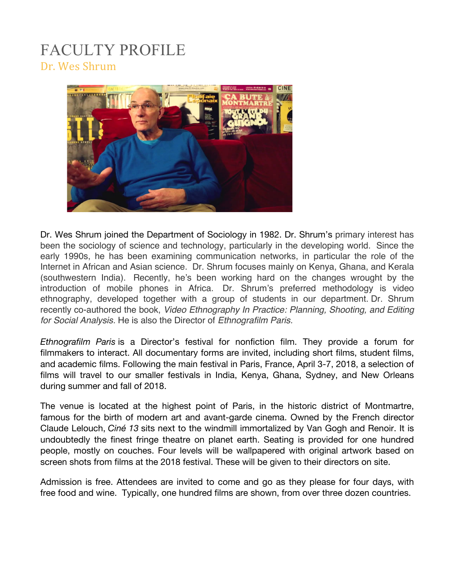### FACULTY PROFILE Dr. Wes Shrum



Dr. Wes Shrum joined the Department of Sociology in 1982. Dr. Shrum's primary interest has been the sociology of science and technology, particularly in the developing world. Since the early 1990s, he has been examining communication networks, in particular the role of the Internet in African and Asian science. Dr. Shrum focuses mainly on Kenya, Ghana, and Kerala (southwestern India). Recently, he's been working hard on the changes wrought by the introduction of mobile phones in Africa. Dr. Shrum's preferred methodology is video ethnography, developed together with a group of students in our department. Dr. Shrum recently co-authored the book, *Video Ethnography In Practice: Planning, Shooting, and Editing for Social Analysis.* He is also the Director of *Ethnografilm Paris.* 

*Ethnografilm Paris* is a Director's festival for nonfiction film. They provide a forum for filmmakers to interact. All documentary forms are invited, including short films, student films, and academic films. Following the main festival in Paris, France, April 3-7, 2018, a selection of films will travel to our smaller festivals in India, Kenya, Ghana, Sydney, and New Orleans during summer and fall of 2018.

The venue is located at the highest point of Paris, in the historic district of Montmartre, famous for the birth of modern art and avant-garde cinema. Owned by the French director Claude Lelouch, *Ciné 13* sits next to the windmill immortalized by Van Gogh and Renoir. It is undoubtedly the finest fringe theatre on planet earth. Seating is provided for one hundred people, mostly on couches. Four levels will be wallpapered with original artwork based on screen shots from films at the 2018 festival. These will be given to their directors on site.

Admission is free. Attendees are invited to come and go as they please for four days, with free food and wine. Typically, one hundred films are shown, from over three dozen countries.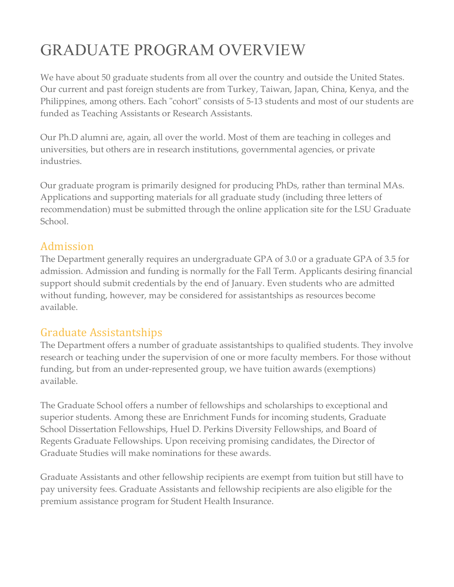# GRADUATE PROGRAM OVERVIEW

We have about 50 graduate students from all over the country and outside the United States. Our current and past foreign students are from Turkey, Taiwan, Japan, China, Kenya, and the Philippines, among others. Each "cohort" consists of 5-13 students and most of our students are funded as Teaching Assistants or Research Assistants.

Our Ph.D alumni are, again, all over the world. Most of them are teaching in colleges and universities, but others are in research institutions, governmental agencies, or private industries.

Our graduate program is primarily designed for producing PhDs, rather than terminal MAs. Applications and supporting materials for all graduate study (including three letters of recommendation) must be submitted through the online application site for the LSU Graduate School.

#### Admission

The Department generally requires an undergraduate GPA of 3.0 or a graduate GPA of 3.5 for admission. Admission and funding is normally for the Fall Term. Applicants desiring financial support should submit credentials by the end of January. Even students who are admitted without funding, however, may be considered for assistantships as resources become available.

#### Graduate Assistantships

The Department offers a number of graduate assistantships to qualified students. They involve research or teaching under the supervision of one or more faculty members. For those without funding, but from an under-represented group, we have tuition awards (exemptions) available.

The Graduate School offers a number of fellowships and scholarships to exceptional and superior students. Among these are Enrichment Funds for incoming students, Graduate School Dissertation Fellowships, Huel D. Perkins Diversity Fellowships, and Board of Regents Graduate Fellowships. Upon receiving promising candidates, the Director of Graduate Studies will make nominations for these awards.

Graduate Assistants and other fellowship recipients are exempt from tuition but still have to pay university fees. Graduate Assistants and fellowship recipients are also eligible for the premium assistance program for Student Health Insurance.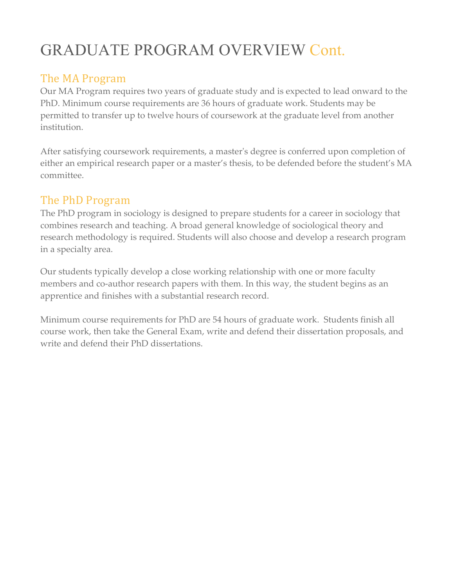# GRADUATE PROGRAM OVERVIEW Cont.

#### The MA Program

Our MA Program requires two years of graduate study and is expected to lead onward to the PhD. Minimum course requirements are 36 hours of graduate work. Students may be permitted to transfer up to twelve hours of coursework at the graduate level from another institution.

After satisfying coursework requirements, a master's degree is conferred upon completion of either an empirical research paper or a master's thesis, to be defended before the student's MA committee.

#### The PhD Program

The PhD program in sociology is designed to prepare students for a career in sociology that combines research and teaching. A broad general knowledge of sociological theory and research methodology is required. Students will also choose and develop a research program in a specialty area.

Our students typically develop a close working relationship with one or more faculty members and co-author research papers with them. In this way, the student begins as an apprentice and finishes with a substantial research record.

Minimum course requirements for PhD are 54 hours of graduate work. Students finish all course work, then take the General Exam, write and defend their dissertation proposals, and write and defend their PhD dissertations.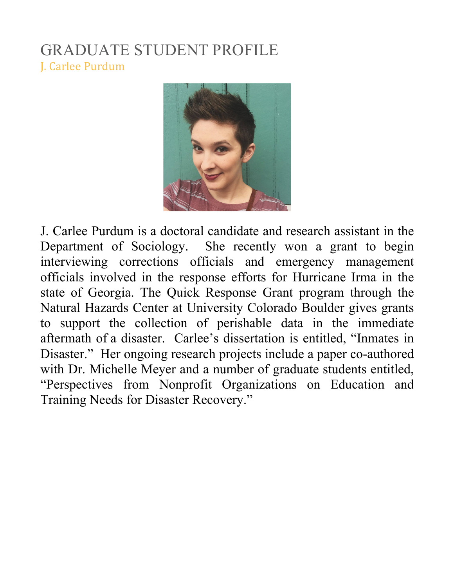### GRADUATE STUDENT PROFILE J. Carlee Purdum



J. Carlee Purdum is a doctoral candidate and research assistant in the Department of Sociology. She recently won a grant to begin interviewing corrections officials and emergency management officials involved in the response efforts for Hurricane Irma in the state of Georgia. The Quick Response Grant program through the Natural Hazards Center at University Colorado Boulder gives grants to support the collection of perishable data in the immediate aftermath of a disaster. Carlee's dissertation is entitled, "Inmates in Disaster." Her ongoing research projects include a paper co-authored with Dr. Michelle Meyer and a number of graduate students entitled, "Perspectives from Nonprofit Organizations on Education and Training Needs for Disaster Recovery."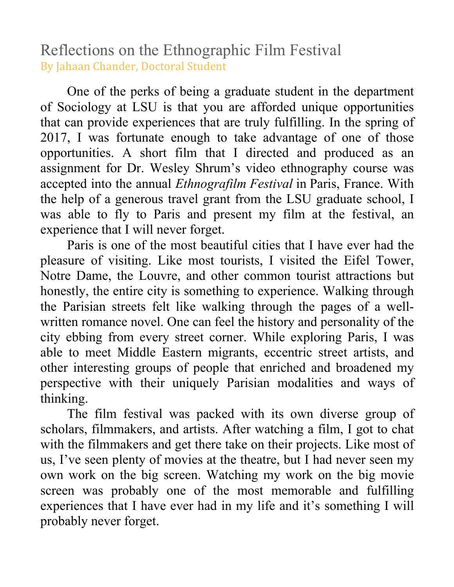Reflections on the Ethnographic Film Festival By Jahaan Chander, Doctoral Student

One of the perks of being a graduate student in the department of Sociology at LSU is that you are afforded unique opportunities that can provide experiences that are truly fulfilling. In the spring of 2017, I was fortunate enough to take advantage of one of those opportunities. A short film that I directed and produced as an assignment for Dr. Wesley Shrum's video ethnography course was accepted into the annual *Ethnografilm Festival* in Paris, France. With the help of a generous travel grant from the LSU graduate school, I was able to fly to Paris and present my film at the festival, an experience that I will never forget.

Paris is one of the most beautiful cities that I have ever had the pleasure of visiting. Like most tourists, I visited the Eifel Tower, Notre Dame, the Louvre, and other common tourist attractions but honestly, the entire city is something to experience. Walking through the Parisian streets felt like walking through the pages of a wellwritten romance novel. One can feel the history and personality of the city ebbing from every street corner. While exploring Paris, I was able to meet Middle Eastern migrants, eccentric street artists, and other interesting groups of people that enriched and broadened my perspective with their uniquely Parisian modalities and ways of thinking.

The film festival was packed with its own diverse group of scholars, filmmakers, and artists. After watching a film, I got to chat with the filmmakers and get there take on their projects. Like most of us, I've seen plenty of movies at the theatre, but I had never seen my own work on the big screen. Watching my work on the big movie screen was probably one of the most memorable and fulfilling experiences that I have ever had in my life and it's something I will probably never forget.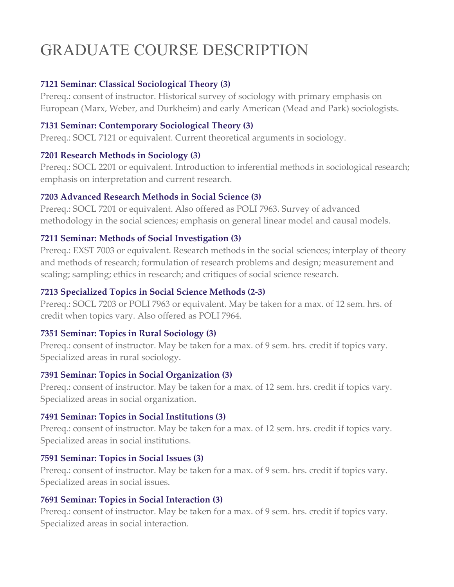# GRADUATE COURSE DESCRIPTION

#### **7121 Seminar: Classical Sociological Theory (3)**

Prereq.: consent of instructor. Historical survey of sociology with primary emphasis on European (Marx, Weber, and Durkheim) and early American (Mead and Park) sociologists.

#### **7131 Seminar: Contemporary Sociological Theory (3)**

Prereq.: SOCL 7121 or equivalent. Current theoretical arguments in sociology.

#### **7201 Research Methods in Sociology (3)**

Prereq.: SOCL 2201 or equivalent. Introduction to inferential methods in sociological research; emphasis on interpretation and current research.

#### **7203 Advanced Research Methods in Social Science (3)**

Prereq.: SOCL 7201 or equivalent. Also offered as POLI 7963. Survey of advanced methodology in the social sciences; emphasis on general linear model and causal models.

#### **7211 Seminar: Methods of Social Investigation (3)**

Prereq.: EXST 7003 or equivalent. Research methods in the social sciences; interplay of theory and methods of research; formulation of research problems and design; measurement and scaling; sampling; ethics in research; and critiques of social science research.

#### **7213 Specialized Topics in Social Science Methods (2-3)**

Prereq.: SOCL 7203 or POLI 7963 or equivalent. May be taken for a max. of 12 sem. hrs. of credit when topics vary. Also offered as POLI 7964.

#### **7351 Seminar: Topics in Rural Sociology (3)**

Prereq.: consent of instructor. May be taken for a max. of 9 sem. hrs. credit if topics vary. Specialized areas in rural sociology.

#### **7391 Seminar: Topics in Social Organization (3)**

Prereq.: consent of instructor. May be taken for a max. of 12 sem. hrs. credit if topics vary. Specialized areas in social organization.

#### **7491 Seminar: Topics in Social Institutions (3)**

Prereq.: consent of instructor. May be taken for a max. of 12 sem. hrs. credit if topics vary. Specialized areas in social institutions.

#### **7591 Seminar: Topics in Social Issues (3)**

Prereq.: consent of instructor. May be taken for a max. of 9 sem. hrs. credit if topics vary. Specialized areas in social issues.

#### **7691 Seminar: Topics in Social Interaction (3)**

Prereq.: consent of instructor. May be taken for a max. of 9 sem. hrs. credit if topics vary. Specialized areas in social interaction.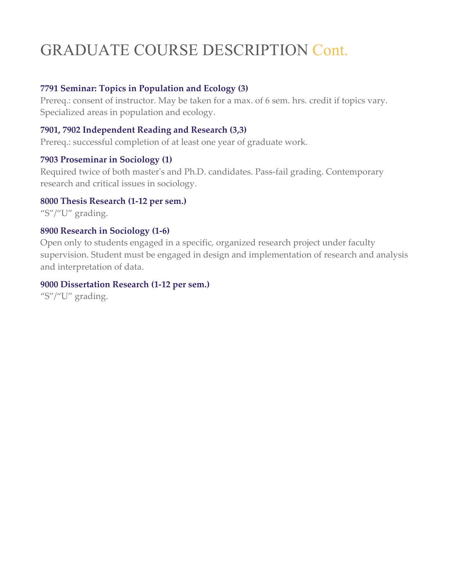# GRADUATE COURSE DESCRIPTION Cont.

#### **7791 Seminar: Topics in Population and Ecology (3)**

Prereq.: consent of instructor. May be taken for a max. of 6 sem. hrs. credit if topics vary. Specialized areas in population and ecology.

#### **7901, 7902 Independent Reading and Research (3,3)**

Prereq.: successful completion of at least one year of graduate work.

#### **7903 Proseminar in Sociology (1)**

Required twice of both master's and Ph.D. candidates. Pass-fail grading. Contemporary research and critical issues in sociology.

#### **8000 Thesis Research (1-12 per sem.)**

"S"/"U" grading.

#### **8900 Research in Sociology (1-6)**

Open only to students engaged in a specific, organized research project under faculty supervision. Student must be engaged in design and implementation of research and analysis and interpretation of data.

#### **9000 Dissertation Research (1-12 per sem.)**

"S"/"U" grading.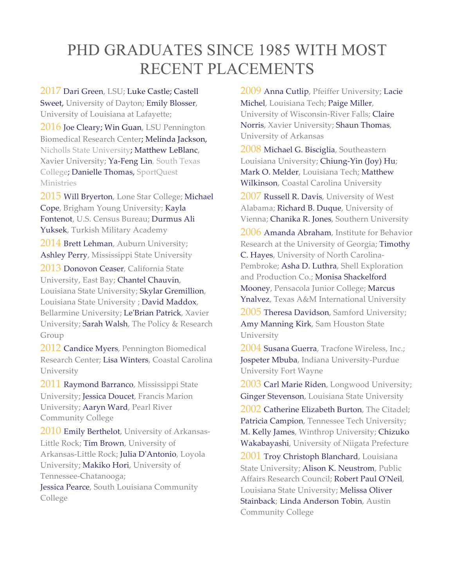### PHD GRADUATES SINCE 1985 WITH MOST RECENT PLACEMENTS

2017 Dari Green, LSU; Luke Castle; Castell Sweet, University of Dayton; Emily Blosser, University of Louisiana at Lafayette;

2016 Joe Cleary; Win Guan, LSU Pennington Biomedical Research Center; Melinda Jackson, Nicholls State University; Matthew LeBlanc, Xavier University; Ya-Feng Lin, South Texas College; Danielle Thomas, SportQuest Ministries

2015 Will Bryerton, Lone Star College; Michael Cope, Brigham Young University; Kayla Fontenot, U.S. Census Bureau; Durmus Ali Yuksek, Turkish Military Academy

2014 Brett Lehman, Auburn University; Ashley Perry, Mississippi State University

2013 Donovon Ceaser, California State University, East Bay; Chantel Chauvin, Louisiana State University; Skylar Gremillion, Louisiana State University ; David Maddox, Bellarmine University; Le'Brian Patrick, Xavier University; Sarah Walsh, The Policy & Research Group

2012 Candice Myers, Pennington Biomedical Research Center; Lisa Winters, Coastal Carolina University

2011 Raymond Barranco, Mississippi State University; Jessica Doucet, Francis Marion University; Aaryn Ward, Pearl River Community College

2010 Emily Berthelot, University of Arkansas-Little Rock; Tim Brown, University of Arkansas-Little Rock; Julia D'Antonio, Loyola University; Makiko Hori, University of Tennessee-Chatanooga; Jessica Pearce, South Louisiana Community College

2009 Anna Cutlip, Pfeiffer University; Lacie Michel, Louisiana Tech; Paige Miller, University of Wisconsin-River Falls; Claire Norris, Xavier University; Shaun Thomas, University of Arkansas

2008 Michael G. Bisciglia, Southeastern Louisiana University; Chiung-Yin (Joy) Hu; Mark O. Melder, Louisiana Tech; Matthew Wilkinson, Coastal Carolina University

2007 Russell R. Davis, University of West Alabama; Richard B. Duque, University of Vienna; Chanika R. Jones, Southern University

2006 Amanda Abraham, Institute for Behavior Research at the University of Georgia; Timothy C. Hayes, University of North Carolina-Pembroke; Asha D. Luthra, Shell Exploration and Production Co.; Monisa Shackelford Mooney, Pensacola Junior College; Marcus Ynalvez, Texas A&M International University

2005 Theresa Davidson, Samford University; Amy Manning Kirk, Sam Houston State University

2004 Susana Guerra, Tracfone Wireless, Inc.; Jospeter Mbuba, Indiana University-Purdue University Fort Wayne

2003 Carl Marie Riden, Longwood University; Ginger Stevenson, Louisiana State University

2002 Catherine Elizabeth Burton, The Citadel; Patricia Campion, Tennessee Tech University; M. Kelly James, Winthrop University; Chizuko Wakabayashi, University of Niigata Prefecture

2001 Troy Christoph Blanchard, Louisiana State University; Alison K. Neustrom, Public Affairs Research Council; Robert Paul O'Neil, Louisiana State University; Melissa Oliver Stainback; Linda Anderson Tobin, Austin Community College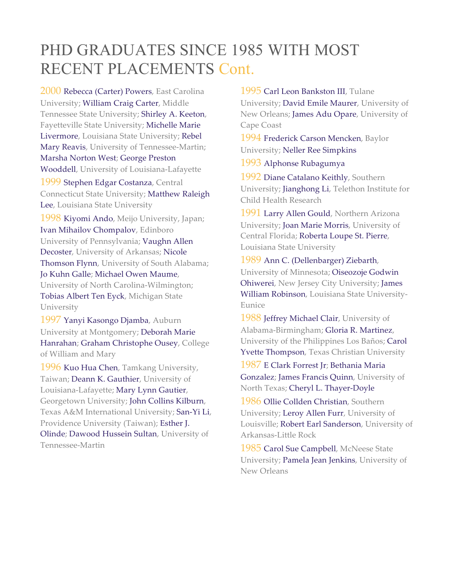## PHD GRADUATES SINCE 1985 WITH MOST RECENT PLACEMENTS Cont.

2000 Rebecca (Carter) Powers, East Carolina University; William Craig Carter, Middle Tennessee State University; Shirley A. Keeton, Fayetteville State University; Michelle Marie Livermore, Louisiana State University; Rebel Mary Reavis, University of Tennessee-Martin; Marsha Norton West; George Preston Wooddell, University of Louisiana-Lafayette 1999 Stephen Edgar Costanza, Central Connecticut State University; Matthew Raleigh Lee, Louisiana State University 1998 Kiyomi Ando, Meijo University, Japan; Ivan Mihailov Chompalov, Edinboro University of Pennsylvania; Vaughn Allen Decoster, University of Arkansas; Nicole Thomson Flynn, University of South Alabama; Jo Kuhn Galle; Michael Owen Maume,

University of North Carolina-Wilmington; Tobias Albert Ten Eyck, Michigan State University

1997 Yanyi Kasongo Djamba, Auburn University at Montgomery; Deborah Marie Hanrahan; Graham Christophe Ousey, College of William and Mary

1996 Kuo Hua Chen, Tamkang University, Taiwan; Deann K. Gauthier, University of Louisiana-Lafayette; Mary Lynn Gautier, Georgetown University; John Collins Kilburn, Texas A&M International University; San-Yi Li, Providence University (Taiwan); Esther J. Olinde; Dawood Hussein Sultan, University of Tennessee-Martin

1995 Carl Leon Bankston III, Tulane University; David Emile Maurer, University of New Orleans; James Adu Opare, University of Cape Coast

1994 Frederick Carson Mencken, Baylor University; Neller Ree Simpkins

1993 Alphonse Rubagumya

1992 Diane Catalano Keithly, Southern University; Jianghong Li, Telethon Institute for Child Health Research

1991 Larry Allen Gould, Northern Arizona University; Joan Marie Morris, University of Central Florida; Roberta Loupe St. Pierre, Louisiana State University

1989 Ann C. (Dellenbarger) Ziebarth, University of Minnesota; Oiseozoje Godwin Ohiwerei, New Jersey City University; James William Robinson, Louisiana State University-Eunice

1988 Jeffrey Michael Clair, University of Alabama-Birmingham; Gloria R. Martinez, University of the Philippines Los Baños; Carol Yvette Thompson, Texas Christian University

1987 E Clark Forrest Jr; Bethania Maria Gonzalez; James Francis Quinn, University of North Texas; Cheryl L. Thayer-Doyle

1986 Ollie Collden Christian, Southern University; Leroy Allen Furr, University of Louisville; Robert Earl Sanderson, University of Arkansas-Little Rock

1985 Carol Sue Campbell, McNeese State University; Pamela Jean Jenkins, University of New Orleans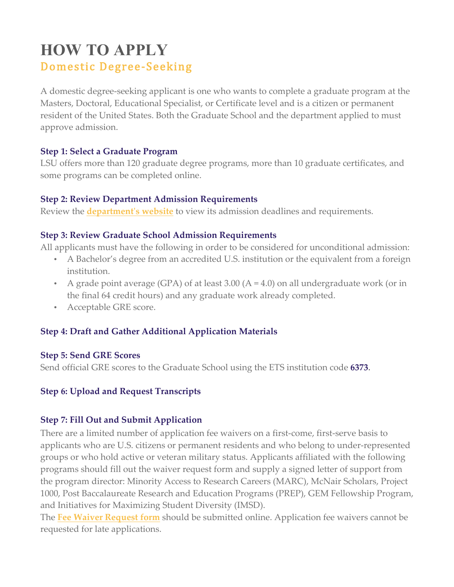### **HOW TO APPLY** Domestic Degree-Seeking

A domestic degree-seeking applicant is one who wants to complete a graduate program at the Masters, Doctoral, Educational Specialist, or Certificate level and is a citizen or permanent resident of the United States. Both the Graduate School and the department applied to must approve admission.

#### **Step 1: Select a Graduate Program**

LSU offers more than 120 graduate degree programs, more than 10 graduate certificates, and some programs can be completed online.

#### **Step 2: Review Department Admission Requirements**

Review the **department's website** to view its admission deadlines and requirements.

#### **Step 3: Review Graduate School Admission Requirements**

All applicants must have the following in order to be considered for unconditional admission:

- A Bachelor's degree from an accredited U.S. institution or the equivalent from a foreign institution.
- A grade point average (GPA) of at least 3.00 ( $A = 4.0$ ) on all undergraduate work (or in the final 64 credit hours) and any graduate work already completed.
- Acceptable GRE score.

#### **Step 4: Draft and Gather Additional Application Materials**

#### **Step 5: Send GRE Scores**

Send official GRE scores to the Graduate School using the ETS institution code **6373**.

#### **Step 6: Upload and Request Transcripts**

#### **Step 7: Fill Out and Submit Application**

There are a limited number of application fee waivers on a first-come, first-serve basis to applicants who are U.S. citizens or permanent residents and who belong to under-represented groups or who hold active or veteran military status. Applicants affiliated with the following programs should fill out the waiver request form and supply a signed letter of support from the program director: Minority Access to Research Careers (MARC), McNair Scholars, Project 1000, Post Baccalaureate Research and Education Programs (PREP), GEM Fellowship Program, and Initiatives for Maximizing Student Diversity (IMSD).

The **Fee Waiver Request form** should be submitted online. Application fee waivers cannot be requested for late applications.